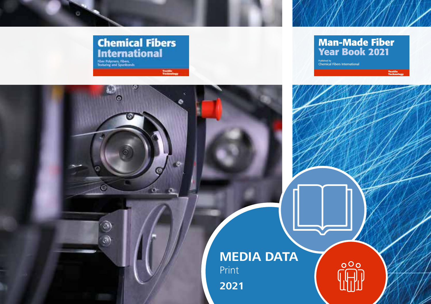

ō.

ю

 $\odot$ B)

 $\alpha$ 

### **Man-Made Fiber Year Book 2021**

 $000$ 

Textile Technology

Published by<br>Chemical Fibers International

## **MEDIA DATA** Print

**2021**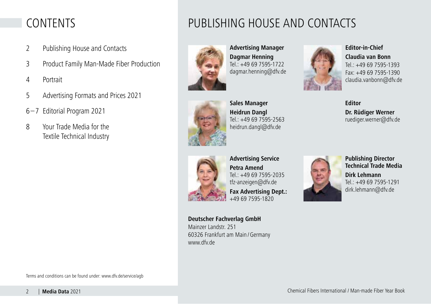## CONTENTS

- 2 Publishing House and Contacts
- 3 Product Family Man-Made Fiber Production
- 4 Portrait
- 5 Advertising Formats and Prices 2021
- 6–7 Editorial Program 2021
- 8 Your Trade Media for the Textile Technical Industry





**Advertising Manager Dagmar Henning**  $Tel: +49697595-1722$ dagmar.henning@dfv.de



**Sales Manager Heidrun Dangl** Tel.: +49 69 7595-2563 heidrun.dangl@dfv.de



**Editor-in-Chief Claudia van Bonn** Tel.: +49 69 7595-1393 Fax: +49 69 7595-1390 claudia.vanbonn@dfv.de





**Advertising Service Petra Amend** Tel.: +49 69 7595-2035 tfz-anzeigen@dfv.de

**Fax Advertising Dept.:**  +49 69 7595-1820



**Publishing Director Technical Trade Media Dirk Lehmann** 

Tel.: +49 69 7595-1291 dirk.lehmann@dfv.de

**Deutscher Fachverlag GmbH**  Mainzer Landstr. 251 60326 Frankfurt am Main /Germany www.dfv.de

Terms and conditions can be found under: www.dfv.de/service/agb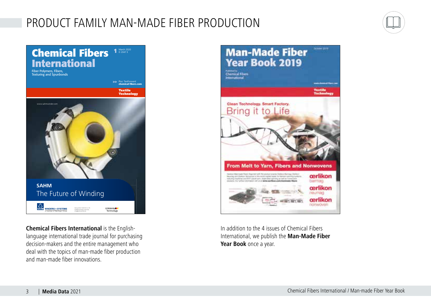## PRODUCT FAMILY MAN-MADE FIBER PRODUCTION





**Chemical Fibers International** is the Englishlanguage international trade journal for purchasing decision-makers and the entire management who deal with the topics of man-made fiber production and man-made fiber innovations.



In addition to the 4 issues of Chemical Fibers International, we publish the **Man-Made Fiber Year Book** once a year.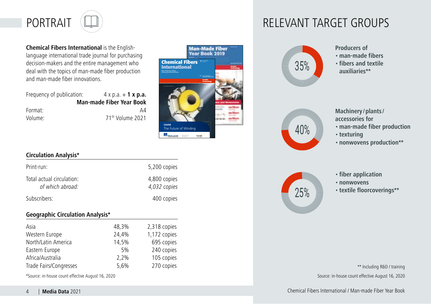

**Chemical Fibers International** is the Englishlanguage international trade journal for purchasing decision-makers and the entire management who deal with the topics of man-made fiber production and man-made fiber innovations.

Frequency of publication:  $4 \times p.a. + 1 \times p.a.$ **Man-made Fiber Year Book** Format: A4 Volume: 71th Volume 2021



#### **Circulation Analysis\***

| Print-run:                                    | 5,200 copies                 |
|-----------------------------------------------|------------------------------|
| Total actual circulation:<br>of which abroad: | 4,800 copies<br>4,032 copies |
| Subscribers:                                  | 400 copies                   |

#### **Geographic Circulation Analysis\***

| Asia                   | 48,3% | 2,318 copies |
|------------------------|-------|--------------|
| Western Europe         | 24.4% | 1,172 copies |
| North/Latin America    | 14.5% | 695 copies   |
| Eastern Europe         | 5%    | 240 copies   |
| Africa/Australia       | 2,2%  | 105 copies   |
| Trade Fairs/Congresses | 5,6%  | 270 copies   |
|                        |       |              |

\*Source: in-house count effective August 16, 2020 Source: in-house count effective August 16, 2020



- **Producers of**
- **man-made fibers**
- **fibers and textile auxiliaries\*\***



- **Machinery /plants/ accessories for**  • **man-made fiber production**
- **texturing**
- **nonwovens production\*\***



- **fiber application**
- **nonwovens**
- **textile floorcoverings\*\***

\*\* Including R&D / training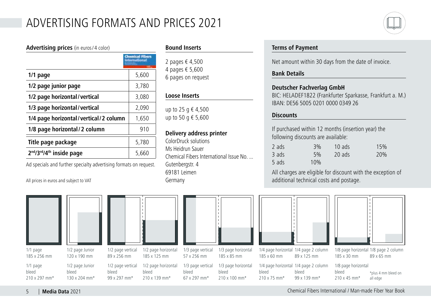## ADVERTISING FORMATS AND PRICES 2021

| <b>Advertising prices</b> (in euros/4 color)                  |                                    |  |  |
|---------------------------------------------------------------|------------------------------------|--|--|
|                                                               | <b>Chemical Fibers</b><br>amationa |  |  |
| $1/1$ page                                                    | 5,600                              |  |  |
| 1/2 page junior page                                          | 3,780                              |  |  |
| 1/2 page horizontal/vertical                                  | 3,080                              |  |  |
| 1/3 page horizontal/vertical                                  | 2,090                              |  |  |
| 1/4 page horizontal/vertical/2 column                         | 1,650                              |  |  |
| 1/8 page horizontal/2 column                                  | 910                                |  |  |
| Title page package                                            | 5,780                              |  |  |
| 2 <sup>nd</sup> /3 <sup>rd</sup> /4 <sup>th</sup> inside page | 5,660                              |  |  |

Ad specials and further specialty advertising formats on request.

All prices in euros and subject to VAT





1/2 page horizontal bleed 210 x 139 mm\*

1/2 page vertical bleed 99 x 297 mm\*

**Bound Inserts**

2 pages € 4,500 4 pages € 5,600 6 pages on request

#### **Loose Inserts**

up to 25 g € 4,500 up to 50 g € 5,600

#### **Delivery address printer**

1/3 page vertical 57 x 256 mm 1/3 page vertical bleed 67 x 297 mm\*

185 x 85 mm 1/3 page horizontal bleed 210 x 100 mm\*

ColorDruck solutions Ms Heidrun Sauer Chemical Fibers International Issue No. ... Gutenbergstr. 4 69181 Leimen Germany

#### **Terms of Payment**

Net amount within 30 days from the date of invoice.

#### **Bank Details**

#### **Deutscher Fachverlag GmbH**

BIC: HELADEF1822 (Frankfurter Sparkasse, Frankfurt a. M.) IBAN: DE56 5005 0201 0000 0349 26

#### **Discounts**

If purchased within 12 months (insertion year) the following discounts are available:

| 2 ads | 3%  | $10$ ads | 15% |
|-------|-----|----------|-----|
| 3 ads | 5%  | 20 ads   | 20% |
| 5 ads | 10% |          |     |

All charges are eligible for discount with the exception of additional technical costs and postage.



185 x 60 mm 89 x 125 mm

| 1/4 page horizontal 1/4 page 2 column |              |
|---------------------------------------|--------------|
| bleed                                 | bleed        |
| 210 x 75 mm*                          | 99 x 139 mm* |



1/8 page horizontal 1/8 page 2 column 89 x 65 mm 185 x 30 mm

1/8 page horizontal 210 x 45 mm\* \*plus 4 mm bleed on all edge

5 | **Media Data** 2021 Chemical Fibers International / Man-made Fiber Year Book

bleed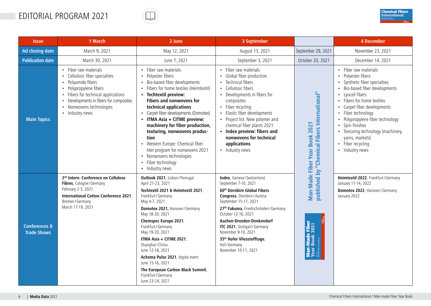## EDITORIAL PROGRAM 2021





| <b>Issue</b>                                   | 1 March                                                                                                                                                                                                                        | 2 June                                                                                                                                                                                                                                                                                                                                                                                                                                                                                                      | 3 September                                                                                                                                                                                                                                                                                                                                                                                                        |                                                              | <b>4 December</b>                                                                                                                                                                                                                                                                                                                                                   |
|------------------------------------------------|--------------------------------------------------------------------------------------------------------------------------------------------------------------------------------------------------------------------------------|-------------------------------------------------------------------------------------------------------------------------------------------------------------------------------------------------------------------------------------------------------------------------------------------------------------------------------------------------------------------------------------------------------------------------------------------------------------------------------------------------------------|--------------------------------------------------------------------------------------------------------------------------------------------------------------------------------------------------------------------------------------------------------------------------------------------------------------------------------------------------------------------------------------------------------------------|--------------------------------------------------------------|---------------------------------------------------------------------------------------------------------------------------------------------------------------------------------------------------------------------------------------------------------------------------------------------------------------------------------------------------------------------|
| Ad closing date                                | March 9, 2021                                                                                                                                                                                                                  | May 12, 2021                                                                                                                                                                                                                                                                                                                                                                                                                                                                                                | August 13, 2021                                                                                                                                                                                                                                                                                                                                                                                                    | September 29, 2021                                           | November 23, 2021                                                                                                                                                                                                                                                                                                                                                   |
| <b>Publication date</b>                        | March 30, 2021                                                                                                                                                                                                                 | June 7, 2021                                                                                                                                                                                                                                                                                                                                                                                                                                                                                                | September 3, 2021                                                                                                                                                                                                                                                                                                                                                                                                  | October 20, 2021                                             | December 14, 2021                                                                                                                                                                                                                                                                                                                                                   |
| $\bullet$<br><b>Main Topics</b>                | • Fiber raw materials<br>• Cellulosic fiber specialties<br>Polyamide fibers<br>Polypropylene fibers<br>Fibers for technical applications<br>Developments in fibers for composites<br>Nonwovens technologies<br>• Industry news | • Fiber raw materials<br>Polyester fibers<br>$\bullet$<br>Bio-based fiber developments<br>Fibers for home textiles (Heimtextil)<br>• Techtextil preview:<br>Fibers and nonwovens for<br>technical applications<br>Carpet fiber developments (Domotex)<br>• ITMA Asia + CITME preview:<br>machinery for fiber production,<br>texturing, nonwovens produc-<br>tion<br>• Western Europe: Chemical fiber<br>titer program for nonwovens 2021<br>• Nonwovens technologies<br>Fiber technology<br>• Industry news | • Fiber raw materials<br>• Global fiber production<br>• Technical fibers<br>• Cellulosic fibers<br>• Developments in fibers for<br>composites<br>• Fiber recycling<br>• Elastic fiber developments<br>• Project list: New polymer and<br>chemical fiber plants 2021<br>• Index preview: fibers and<br>nonwovens for technical<br>applications<br>• Industry news                                                   | "Chemical Fibers International"<br>Fiber Year Book 2021      | • Fiber raw materials<br>• Polyester fibers<br>Synthetic fiber specialties<br>Bio-based fiber developments<br>• Lyocell fibers<br>• Fibers for home textiles<br>Carpet fiber developments<br>Fiber technology<br>Polypropylene fiber technology<br>• Spin finishes<br>• Texturing technology (machinery,<br>yarns, markets)<br>• Fiber recycling<br>• Industry news |
| <b>Conferences &amp;</b><br><b>Trade Shows</b> | 2 <sup>nd</sup> Intern. Conference on Cellulose<br>Fibres, Cologne/Germany<br>February 2-3, 2021<br>International Cotton Conference 2021,<br>Bremen / Germany<br>March 17-19, 2021                                             | Outlook 2021, Lisbon / Portugal<br>April 21-23, 2021<br>Techtextil 2021 & Heimtextil 2021,<br>Frankfurt / Germany<br>May 4-7, 2021<br>Domotex 2021, Hanover / Germany<br>May 18-20, 2021<br>Chemspec Europe 2021,<br>Frankfurt / Germany<br>May 19-20, 2021<br>ITMA Asia + CITME 2021,<br>Shanghai/China<br>June 12-16, 2021<br>Achema Pulse 2021, digital event<br>June 15-16, 2021<br>The European Carbon Black Summit,<br>Frankfurt / Germany<br>June 23-24, 2021                                        | <b>Index</b> , Geneva / Switzerland<br>September 7-10, 2021<br>60 <sup>th</sup> Dornbirn Global Fibers<br>Congress, Dornbirn/Austria<br>September 15-17, 2021<br>27 <sup>th</sup> Fakuma, Friedrichshafen / Germany<br>October 12-16, 2021<br>Aachen-Dresden-Denkendorf<br>ITC 2021, Stuttgart / Germany<br>November 9-10, 2021<br>35 <sup>th</sup> Hofer Vliesstofftage,<br>Hof / Germany<br>November 10-11, 2021 | published by<br>Man-Made<br>Man-Made Fiber<br>Year Book 2021 | Heimtextil 2022, Frankfurt/Germany<br>January 11-14, 2022<br>Domotex 2022, Hanover / Germany<br>January 2022                                                                                                                                                                                                                                                        |